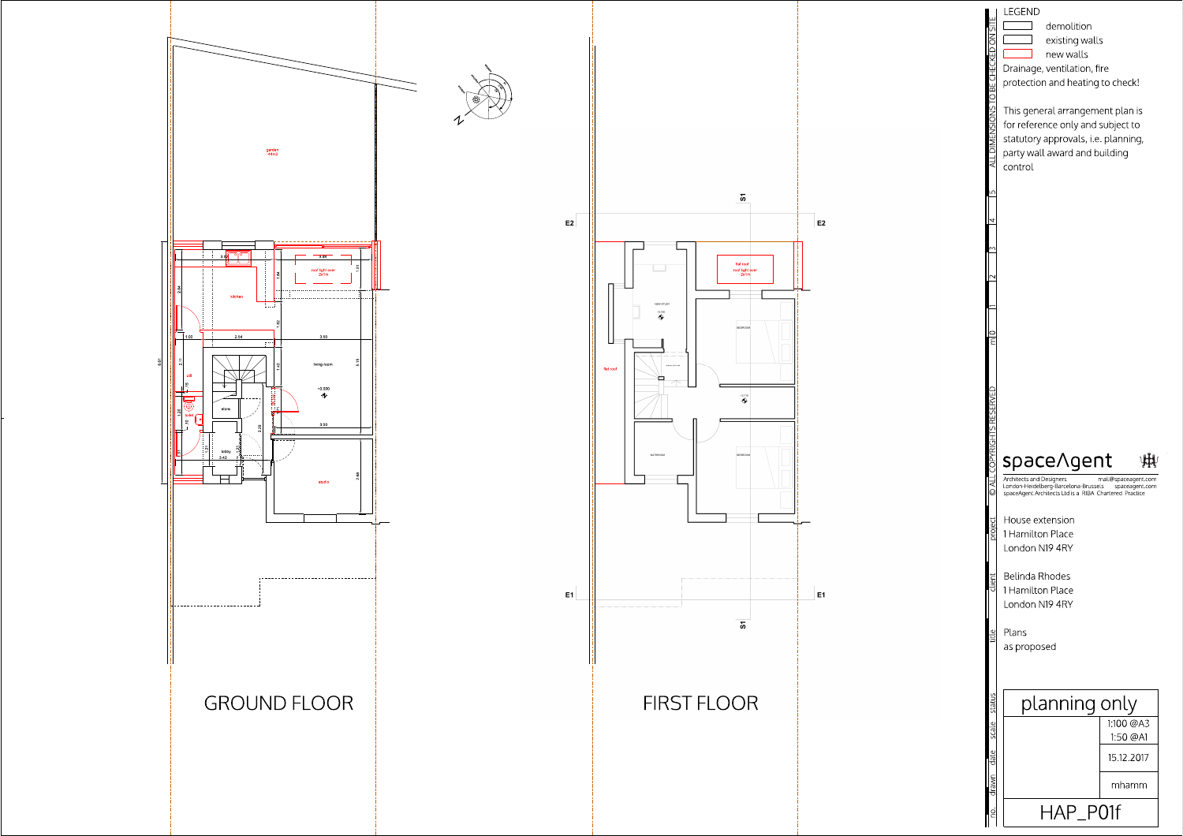





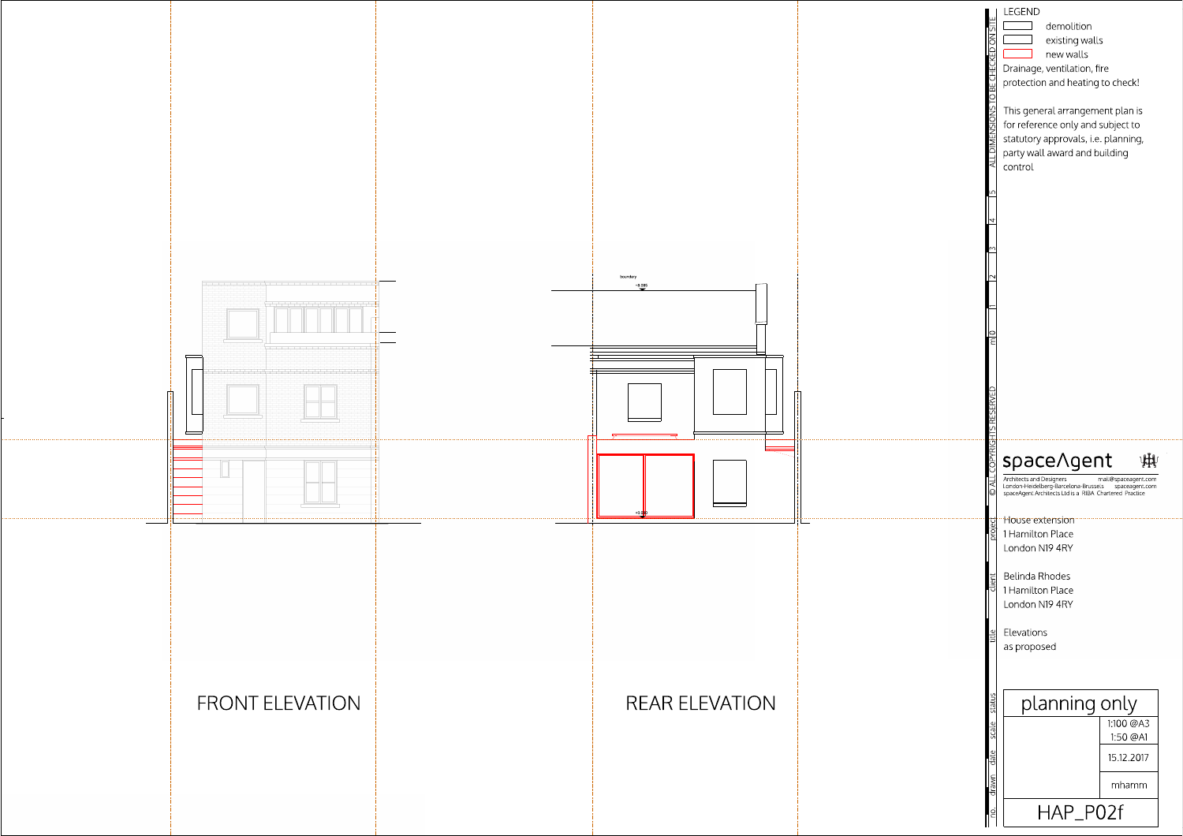![](_page_1_Figure_1.jpeg)

![](_page_1_Figure_2.jpeg)

![](_page_1_Figure_3.jpeg)